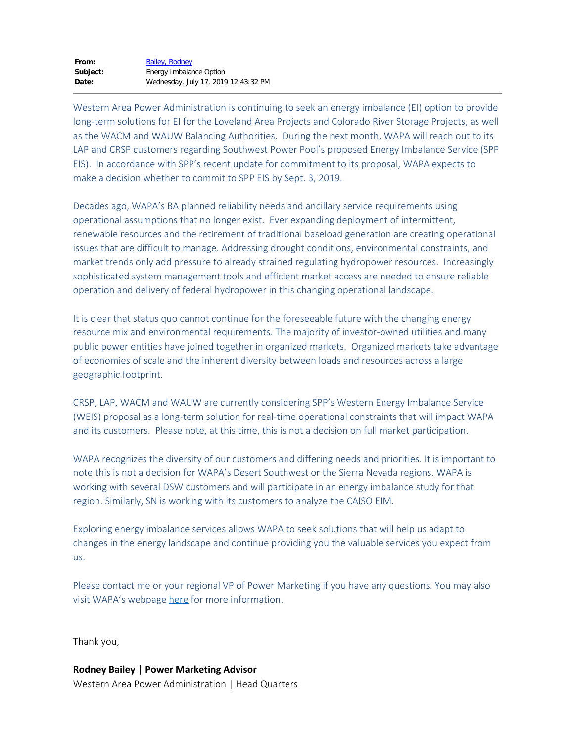Western Area Power Administration is continuing to seek an energy imbalance (EI) option to provide long-term solutions for EI for the Loveland Area Projects and Colorado River Storage Projects, as well as the WACM and WAUW Balancing Authorities. During the next month, WAPA will reach out to its LAP and CRSP customers regarding Southwest Power Pool's proposed Energy Imbalance Service (SPP EIS). In accordance with SPP's recent update for commitment to its proposal, WAPA expects to make a decision whether to commit to SPP EIS by Sept. 3, 2019.

Decades ago, WAPA's BA planned reliability needs and ancillary service requirements using operational assumptions that no longer exist. Ever expanding deployment of intermittent, renewable resources and the retirement of traditional baseload generation are creating operational issues that are difficult to manage. Addressing drought conditions, environmental constraints, and market trends only add pressure to already strained regulating hydropower resources. Increasingly sophisticated system management tools and efficient market access are needed to ensure reliable operation and delivery of federal hydropower in this changing operational landscape.

It is clear that status quo cannot continue for the foreseeable future with the changing energy resource mix and environmental requirements. The majority of investor-owned utilities and many public power entities have joined together in organized markets. Organized markets take advantage of economies of scale and the inherent diversity between loads and resources across a large geographic footprint.

CRSP, LAP, WACM and WAUW are currently considering SPP's Western Energy Imbalance Service (WEIS) proposal as a long-term solution for real-time operational constraints that will impact WAPA and its customers. Please note, at this time, this is not a decision on full market participation.

WAPA recognizes the diversity of our customers and differing needs and priorities. It is important to note this is not a decision for WAPA's Desert Southwest or the Sierra Nevada regions. WAPA is working with several DSW customers and will participate in an energy imbalance study for that region. Similarly, SN is working with its customers to analyze the CAISO EIM.

Exploring energy imbalance services allows WAPA to seek solutions that will help us adapt to changes in the energy landscape and continue providing you the valuable services you expect from us.

Please contact me or your regional VP of Power Marketing if you have any questions. You may also visit WAPA's webpage [here](https://www.wapa.gov/About/keytopics/Pages/energy-imbalance.aspx) for more information.

Thank you,

**Rodney Bailey | Power Marketing Advisor** Western Area Power Administration | Head Quarters